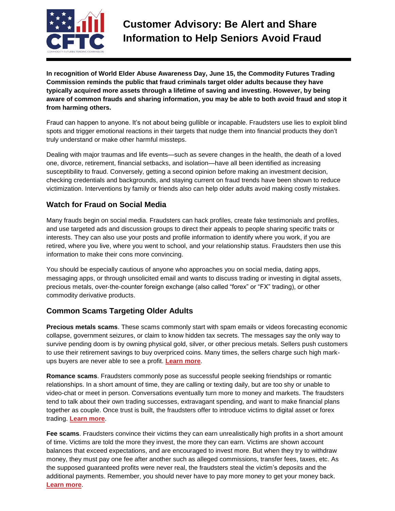

**In recognition of World Elder Abuse Awareness Day, June 15, the Commodity Futures Trading Commission reminds the public that fraud criminals target older adults because they have typically acquired more assets through a lifetime of saving and investing. However, by being aware of common frauds and sharing information, you may be able to both avoid fraud and stop it from harming others.**

Fraud can happen to anyone. It's not about being gullible or incapable. Fraudsters use lies to exploit blind spots and trigger emotional reactions in their targets that nudge them into financial products they don't truly understand or make other harmful missteps.

Dealing with major traumas and life events—such as severe changes in the health, the death of a loved one, divorce, retirement, financial setbacks, and isolation—have all been identified as increasing susceptibility to fraud. Conversely, getting a second opinion before making an investment decision, checking credentials and backgrounds, and staying current on fraud trends have been shown to reduce victimization. Interventions by family or friends also can help older adults avoid making costly mistakes.

## **Watch for Fraud on Social Media**

Many frauds begin on social media. Fraudsters can hack profiles, create fake testimonials and profiles, and use targeted ads and discussion groups to direct their appeals to people sharing specific traits or interests. They can also use your posts and profile information to identify where you work, if you are retired, where you live, where you went to school, and your relationship status. Fraudsters then use this information to make their cons more convincing.

You should be especially cautious of anyone who approaches you on social media, dating apps, messaging apps, or through unsolicited email and wants to discuss trading or investing in digital assets, precious metals, over-the-counter foreign exchange (also called "forex" or "FX" trading), or other commodity derivative products.

## **Common Scams Targeting Older Adults**

**Precious metals scams**. These scams commonly start with spam emails or videos forecasting economic collapse, government seizures, or claim to know hidden tax secrets. The messages say the only way to survive pending doom is by owning physical gold, silver, or other precious metals. Sellers push customers to use their retirement savings to buy overpriced coins. Many times, the sellers charge such high markups buyers are never able to see a profit. **[Learn](https://www.cftc.gov/LearnAndProtect/AdvisoriesAndArticles/CustomerAdvisory_COVID19PreciousMetals.htm) more**.

**Romance scams**. Fraudsters commonly pose as successful people seeking friendships or romantic relationships. In a short amount of time, they are calling or texting daily, but are too shy or unable to video-chat or meet in person. Conversations eventually turn more to money and markets. The fraudsters tend to talk about their own trading successes, extravagant spending, and want to make financial plans together as couple. Once trust is built, the fraudsters offer to introduce victims to digital asset or forex trading. **[Learn](https://www.cftc.gov/LearnAndProtect/AdvisoriesAndArticles/CustomerAdvisory_RomanceScam.html) more**.

**Fee scams**. Fraudsters convince their victims they can earn unrealistically high profits in a short amount of time. Victims are told the more they invest, the more they can earn. Victims are shown account balances that exceed expectations, and are encouraged to invest more. But when they try to withdraw money, they must pay one fee after another such as alleged commissions, transfer fees, taxes, etc. As the supposed guaranteed profits were never real, the fraudsters steal the victim's deposits and the additional payments. Remember, you should never have to pay more money to get your money back. **[Learn](https://www.cftc.gov/LearnAndProtect/AdvisoriesAndArticles/CustomerAdvisory_CoronaFees.htm) more**.